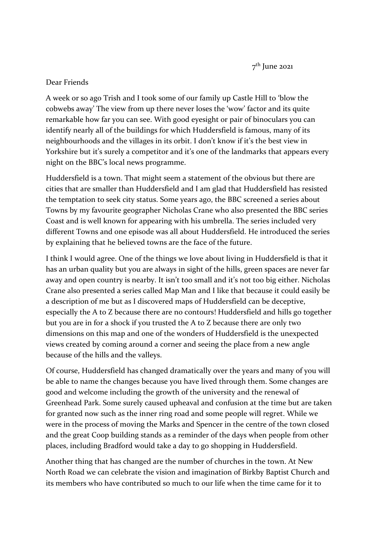7<sup>th</sup> June 2021

## Dear Friends

A week or so ago Trish and I took some of our family up Castle Hill to 'blow the cobwebs away' The view from up there never loses the 'wow' factor and its quite remarkable how far you can see. With good eyesight or pair of binoculars you can identify nearly all of the buildings for which Huddersfield is famous, many of its neighbourhoods and the villages in its orbit. I don't know if it's the best view in Yorkshire but it's surely a competitor and it's one of the landmarks that appears every night on the BBC's local news programme.

Huddersfield is a town. That might seem a statement of the obvious but there are cities that are smaller than Huddersfield and I am glad that Huddersfield has resisted the temptation to seek city status. Some years ago, the BBC screened a series about Towns by my favourite geographer Nicholas Crane who also presented the BBC series Coast and is well known for appearing with his umbrella. The series included very different Towns and one episode was all about Huddersfield. He introduced the series by explaining that he believed towns are the face of the future.

I think I would agree. One of the things we love about living in Huddersfield is that it has an urban quality but you are always in sight of the hills, green spaces are never far away and open country is nearby. It isn't too small and it's not too big either. Nicholas Crane also presented a series called Map Man and I like that because it could easily be a description of me but as I discovered maps of Huddersfield can be deceptive, especially the A to Z because there are no contours! Huddersfield and hills go together but you are in for a shock if you trusted the A to Z because there are only two dimensions on this map and one of the wonders of Huddersfield is the unexpected views created by coming around a corner and seeing the place from a new angle because of the hills and the valleys.

Of course, Huddersfield has changed dramatically over the years and many of you will be able to name the changes because you have lived through them. Some changes are good and welcome including the growth of the university and the renewal of Greenhead Park. Some surely caused upheaval and confusion at the time but are taken for granted now such as the inner ring road and some people will regret. While we were in the process of moving the Marks and Spencer in the centre of the town closed and the great Coop building stands as a reminder of the days when people from other places, including Bradford would take a day to go shopping in Huddersfield.

Another thing that has changed are the number of churches in the town. At New North Road we can celebrate the vision and imagination of Birkby Baptist Church and its members who have contributed so much to our life when the time came for it to